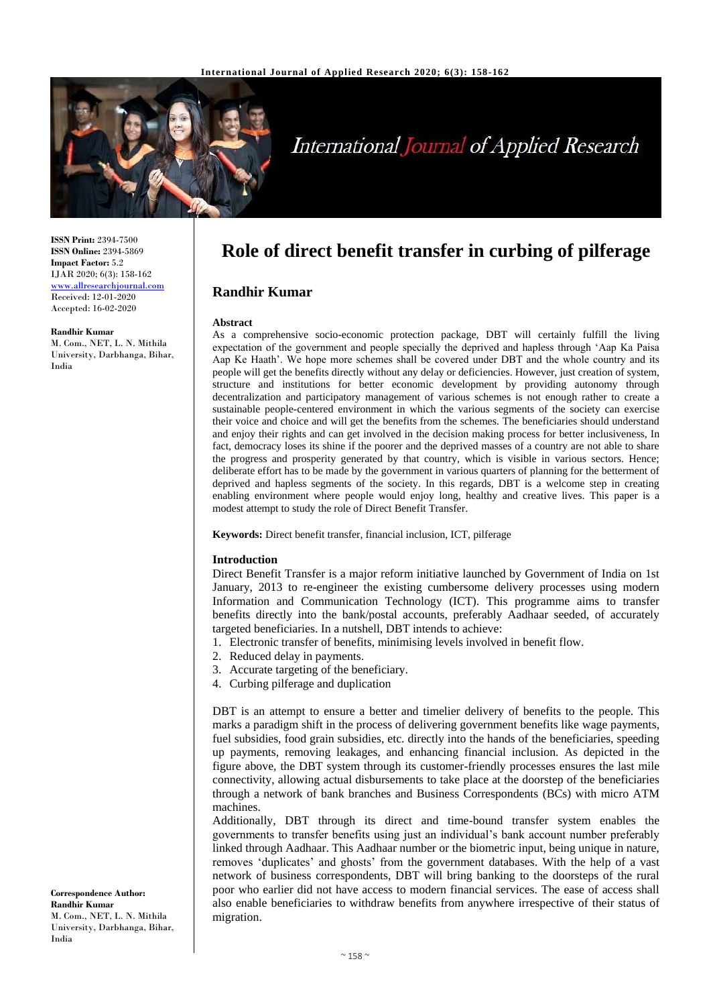

# **International Journal of Applied Research**

**ISSN Print:** 2394-7500 **ISSN Online:** 2394-5869 **Impact Factor:** 5.2 IJAR 2020; 6(3): 158-162 [www.allresearchjournal.com](http://www.allresearchjournal.com/) Received: 12-01-2020 Accepted: 16-02-2020

#### **Randhir Kumar**

M. Com., NET, L. N. Mithila University, Darbhanga, Bihar, India

**Role of direct benefit transfer in curbing of pilferage**

## **Randhir Kumar**

#### **Abstract**

As a comprehensive socio-economic protection package, DBT will certainly fulfill the living expectation of the government and people specially the deprived and hapless through 'Aap Ka Paisa Aap Ke Haath'. We hope more schemes shall be covered under DBT and the whole country and its people will get the benefits directly without any delay or deficiencies. However, just creation of system, structure and institutions for better economic development by providing autonomy through decentralization and participatory management of various schemes is not enough rather to create a sustainable people-centered environment in which the various segments of the society can exercise their voice and choice and will get the benefits from the schemes. The beneficiaries should understand and enjoy their rights and can get involved in the decision making process for better inclusiveness, In fact, democracy loses its shine if the poorer and the deprived masses of a country are not able to share the progress and prosperity generated by that country, which is visible in various sectors. Hence; deliberate effort has to be made by the government in various quarters of planning for the betterment of deprived and hapless segments of the society. In this regards, DBT is a welcome step in creating enabling environment where people would enjoy long, healthy and creative lives. This paper is a modest attempt to study the role of Direct Benefit Transfer.

**Keywords:** Direct benefit transfer, financial inclusion, ICT, pilferage

#### **Introduction**

Direct Benefit Transfer is a major reform initiative launched by Government of India on 1st January, 2013 to re-engineer the existing cumbersome delivery processes using modern Information and Communication Technology (ICT). This programme aims to transfer benefits directly into the bank/postal accounts, preferably Aadhaar seeded, of accurately targeted beneficiaries. In a nutshell, DBT intends to achieve:

1. Electronic transfer of benefits, minimising levels involved in benefit flow.

- 2. Reduced delay in payments.
- 3. Accurate targeting of the beneficiary.
- 4. Curbing pilferage and duplication

DBT is an attempt to ensure a better and timelier delivery of benefits to the people. This marks a paradigm shift in the process of delivering government benefits like wage payments, fuel subsidies, food grain subsidies, etc. directly into the hands of the beneficiaries, speeding up payments, removing leakages, and enhancing financial inclusion. As depicted in the figure above, the DBT system through its customer-friendly processes ensures the last mile connectivity, allowing actual disbursements to take place at the doorstep of the beneficiaries through a network of bank branches and Business Correspondents (BCs) with micro ATM machines.

Additionally, DBT through its direct and time-bound transfer system enables the governments to transfer benefits using just an individual's bank account number preferably linked through Aadhaar. This Aadhaar number or the biometric input, being unique in nature, removes 'duplicates' and ghosts' from the government databases. With the help of a vast network of business correspondents, DBT will bring banking to the doorsteps of the rural poor who earlier did not have access to modern financial services. The ease of access shall also enable beneficiaries to withdraw benefits from anywhere irrespective of their status of migration.

**Correspondence Author: Randhir Kumar** M. Com., NET, L. N. Mithila University, Darbhanga, Bihar, India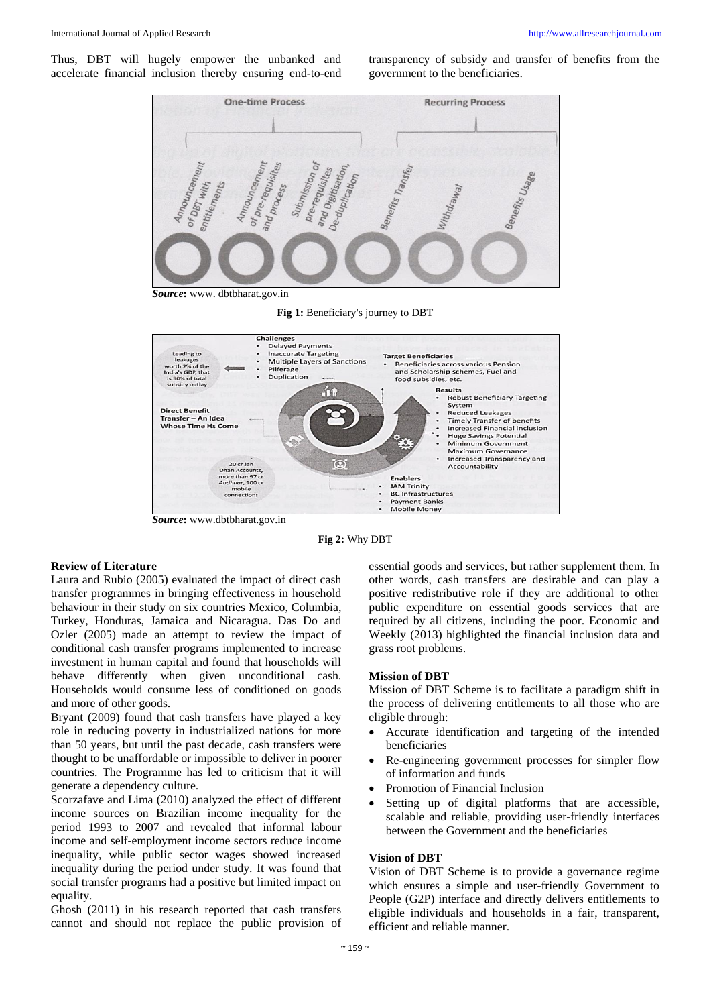Thus, DBT will hugely empower the unbanked and accelerate financial inclusion thereby ensuring end-to-end

transparency of subsidy and transfer of benefits from the government to the beneficiaries.





**Fig 2:** Why DBT

#### **Review of Literature**

Laura and Rubio (2005) evaluated the impact of direct cash transfer programmes in bringing effectiveness in household behaviour in their study on six countries Mexico, Columbia, Turkey, Honduras, Jamaica and Nicaragua. Das Do and Ozler (2005) made an attempt to review the impact of conditional cash transfer programs implemented to increase investment in human capital and found that households will behave differently when given unconditional cash. Households would consume less of conditioned on goods and more of other goods.

Bryant (2009) found that cash transfers have played a key role in reducing poverty in industrialized nations for more than 50 years, but until the past decade, cash transfers were thought to be unaffordable or impossible to deliver in poorer countries. The Programme has led to criticism that it will generate a dependency culture.

Scorzafave and Lima (2010) analyzed the effect of different income sources on Brazilian income inequality for the period 1993 to 2007 and revealed that informal labour income and self-employment income sectors reduce income inequality, while public sector wages showed increased inequality during the period under study. It was found that social transfer programs had a positive but limited impact on equality.

Ghosh (2011) in his research reported that cash transfers cannot and should not replace the public provision of essential goods and services, but rather supplement them. In other words, cash transfers are desirable and can play a positive redistributive role if they are additional to other public expenditure on essential goods services that are required by all citizens, including the poor. Economic and Weekly (2013) highlighted the financial inclusion data and grass root problems.

## **Mission of DBT**

Mission of DBT Scheme is to facilitate a paradigm shift in the process of delivering entitlements to all those who are eligible through:

- Accurate identification and targeting of the intended beneficiaries
- Re-engineering government processes for simpler flow of information and funds
- Promotion of Financial Inclusion
- Setting up of digital platforms that are accessible, scalable and reliable, providing user-friendly interfaces between the Government and the beneficiaries

#### **Vision of DBT**

Vision of DBT Scheme is to provide a governance regime which ensures a simple and user-friendly Government to People (G2P) interface and directly delivers entitlements to eligible individuals and households in a fair, transparent, efficient and reliable manner.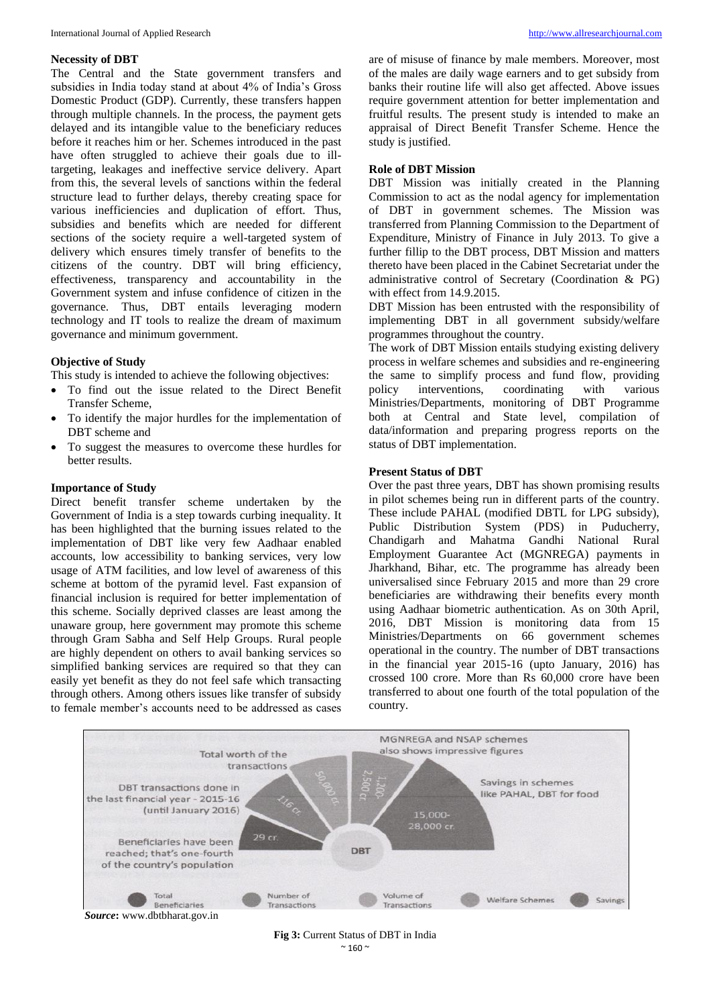#### **Necessity of DBT**

The Central and the State government transfers and subsidies in India today stand at about 4% of India's Gross Domestic Product (GDP). Currently, these transfers happen through multiple channels. In the process, the payment gets delayed and its intangible value to the beneficiary reduces before it reaches him or her. Schemes introduced in the past have often struggled to achieve their goals due to illtargeting, leakages and ineffective service delivery. Apart from this, the several levels of sanctions within the federal structure lead to further delays, thereby creating space for various inefficiencies and duplication of effort. Thus, subsidies and benefits which are needed for different sections of the society require a well-targeted system of delivery which ensures timely transfer of benefits to the citizens of the country. DBT will bring efficiency, effectiveness, transparency and accountability in the Government system and infuse confidence of citizen in the governance. Thus, DBT entails leveraging modern technology and IT tools to realize the dream of maximum governance and minimum government.

#### **Objective of Study**

This study is intended to achieve the following objectives:

- To find out the issue related to the Direct Benefit Transfer Scheme,
- To identify the major hurdles for the implementation of DBT scheme and
- To suggest the measures to overcome these hurdles for better results.

#### **Importance of Study**

Direct benefit transfer scheme undertaken by the Government of India is a step towards curbing inequality. It has been highlighted that the burning issues related to the implementation of DBT like very few Aadhaar enabled accounts, low accessibility to banking services, very low usage of ATM facilities, and low level of awareness of this scheme at bottom of the pyramid level. Fast expansion of financial inclusion is required for better implementation of this scheme. Socially deprived classes are least among the unaware group, here government may promote this scheme through Gram Sabha and Self Help Groups. Rural people are highly dependent on others to avail banking services so simplified banking services are required so that they can easily yet benefit as they do not feel safe which transacting through others. Among others issues like transfer of subsidy to female member's accounts need to be addressed as cases

are of misuse of finance by male members. Moreover, most of the males are daily wage earners and to get subsidy from banks their routine life will also get affected. Above issues require government attention for better implementation and fruitful results. The present study is intended to make an appraisal of Direct Benefit Transfer Scheme. Hence the study is justified.

#### **Role of DBT Mission**

DBT Mission was initially created in the Planning Commission to act as the nodal agency for implementation of DBT in government schemes. The Mission was transferred from Planning Commission to the Department of Expenditure, Ministry of Finance in July 2013. To give a further fillip to the DBT process, DBT Mission and matters thereto have been placed in the Cabinet Secretariat under the administrative control of Secretary (Coordination & PG) with effect from 14.9.2015.

DBT Mission has been entrusted with the responsibility of implementing DBT in all government subsidy/welfare programmes throughout the country.

The work of DBT Mission entails studying existing delivery process in welfare schemes and subsidies and re-engineering the same to simplify process and fund flow, providing policy interventions, coordinating with various Ministries/Departments, monitoring of DBT Programme both at Central and State level, compilation of data/information and preparing progress reports on the status of DBT implementation.

#### **Present Status of DBT**

Over the past three years, DBT has shown promising results in pilot schemes being run in different parts of the country. These include PAHAL (modified DBTL for LPG subsidy), Public Distribution System (PDS) in Puducherry, Chandigarh and Mahatma Gandhi National Rural Employment Guarantee Act (MGNREGA) payments in Jharkhand, Bihar, etc. The programme has already been universalised since February 2015 and more than 29 crore beneficiaries are withdrawing their benefits every month using Aadhaar biometric authentication. As on 30th April, 2016, DBT Mission is monitoring data from 15 Ministries/Departments on 66 government schemes operational in the country. The number of DBT transactions in the financial year 2015-16 (upto January, 2016) has crossed 100 crore. More than Rs 60,000 crore have been transferred to about one fourth of the total population of the country.



*Source***:** www.dbtbharat.gov.in

**Fig 3:** Current Status of DBT in India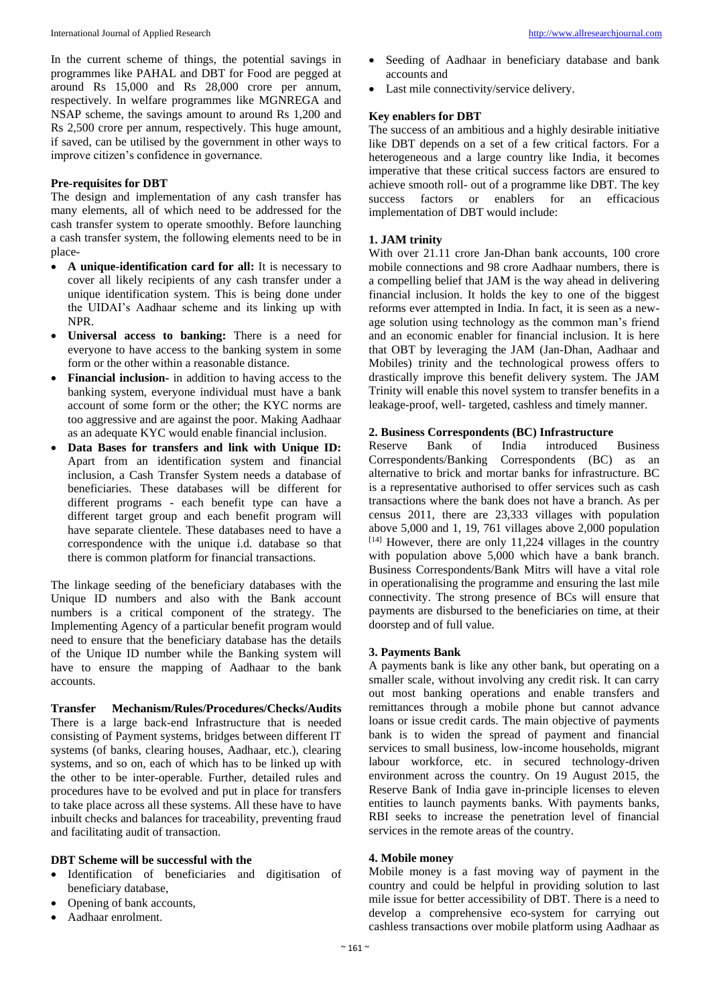In the current scheme of things, the potential savings in programmes like PAHAL and DBT for Food are pegged at around Rs 15,000 and Rs 28,000 crore per annum, respectively. In welfare programmes like MGNREGA and NSAP scheme, the savings amount to around Rs 1,200 and Rs 2,500 crore per annum, respectively. This huge amount, if saved, can be utilised by the government in other ways to improve citizen's confidence in governance.

## **Pre-requisites for DBT**

The design and implementation of any cash transfer has many elements, all of which need to be addressed for the cash transfer system to operate smoothly. Before launching a cash transfer system, the following elements need to be in place-

- **A unique-identification card for all:** It is necessary to cover all likely recipients of any cash transfer under a unique identification system. This is being done under the UIDAI's Aadhaar scheme and its linking up with NPR.
- **Universal access to banking:** There is a need for everyone to have access to the banking system in some form or the other within a reasonable distance.
- **Financial inclusion-** in addition to having access to the banking system, everyone individual must have a bank account of some form or the other; the KYC norms are too aggressive and are against the poor. Making Aadhaar as an adequate KYC would enable financial inclusion.
- **Data Bases for transfers and link with Unique ID:** Apart from an identification system and financial inclusion, a Cash Transfer System needs a database of beneficiaries. These databases will be different for different programs - each benefit type can have a different target group and each benefit program will have separate clientele. These databases need to have a correspondence with the unique i.d. database so that there is common platform for financial transactions.

The linkage seeding of the beneficiary databases with the Unique ID numbers and also with the Bank account numbers is a critical component of the strategy. The Implementing Agency of a particular benefit program would need to ensure that the beneficiary database has the details of the Unique ID number while the Banking system will have to ensure the mapping of Aadhaar to the bank accounts.

**Transfer Mechanism/Rules/Procedures/Checks/Audits**  There is a large back-end Infrastructure that is needed consisting of Payment systems, bridges between different IT systems (of banks, clearing houses, Aadhaar, etc.), clearing systems, and so on, each of which has to be linked up with the other to be inter-operable. Further, detailed rules and procedures have to be evolved and put in place for transfers to take place across all these systems. All these have to have inbuilt checks and balances for traceability, preventing fraud and facilitating audit of transaction.

## **DBT Scheme will be successful with the**

- Identification of beneficiaries and digitisation of beneficiary database,
- Opening of bank accounts,
- Aadhaar enrolment.
- Seeding of Aadhaar in beneficiary database and bank accounts and
- Last mile connectivity/service delivery.

#### **Key enablers for DBT**

The success of an ambitious and a highly desirable initiative like DBT depends on a set of a few critical factors. For a heterogeneous and a large country like India, it becomes imperative that these critical success factors are ensured to achieve smooth roll- out of a programme like DBT. The key success factors or enablers for an efficacious implementation of DBT would include:

#### **1. JAM trinity**

With over 21.11 crore Jan-Dhan bank accounts, 100 crore mobile connections and 98 crore Aadhaar numbers, there is a compelling belief that JAM is the way ahead in delivering financial inclusion. It holds the key to one of the biggest reforms ever attempted in India. In fact, it is seen as a newage solution using technology as the common man's friend and an economic enabler for financial inclusion. It is here that OBT by leveraging the JAM (Jan-Dhan, Aadhaar and Mobiles) trinity and the technological prowess offers to drastically improve this benefit delivery system. The JAM Trinity will enable this novel system to transfer benefits in a leakage-proof, well- targeted, cashless and timely manner.

#### **2. Business Correspondents (BC) Infrastructure**

Reserve Bank of India introduced Business Correspondents/Banking Correspondents (BC) as an alternative to brick and mortar banks for infrastructure. BC is a representative authorised to offer services such as cash transactions where the bank does not have a branch. As per census 2011, there are 23,333 villages with population above 5,000 and 1, 19, 761 villages above 2,000 population [14] However, there are only 11,224 villages in the country with population above 5,000 which have a bank branch. Business Correspondents/Bank Mitrs will have a vital role in operationalising the programme and ensuring the last mile connectivity. The strong presence of BCs will ensure that payments are disbursed to the beneficiaries on time, at their doorstep and of full value.

## **3. Payments Bank**

A payments bank is like any other bank, but operating on a smaller scale, without involving any credit risk. It can carry out most banking operations and enable transfers and remittances through a mobile phone but cannot advance loans or issue credit cards. The main objective of payments bank is to widen the spread of payment and financial services to small business, low-income households, migrant labour workforce, etc. in secured technology-driven environment across the country. On 19 August 2015, the Reserve Bank of India gave in-principle licenses to eleven entities to launch payments banks. With payments banks, RBI seeks to increase the penetration level of financial services in the remote areas of the country.

#### **4. Mobile money**

Mobile money is a fast moving way of payment in the country and could be helpful in providing solution to last mile issue for better accessibility of DBT. There is a need to develop a comprehensive eco-system for carrying out cashless transactions over mobile platform using Aadhaar as